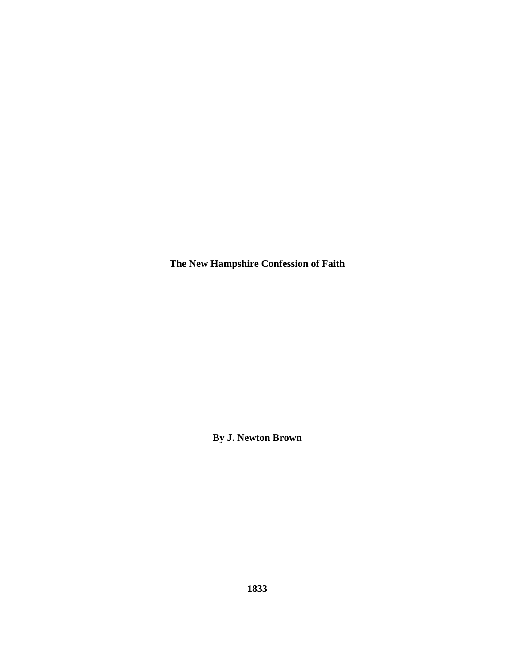**The New Hampshire Confession of Faith** 

**By J. Newton Brown**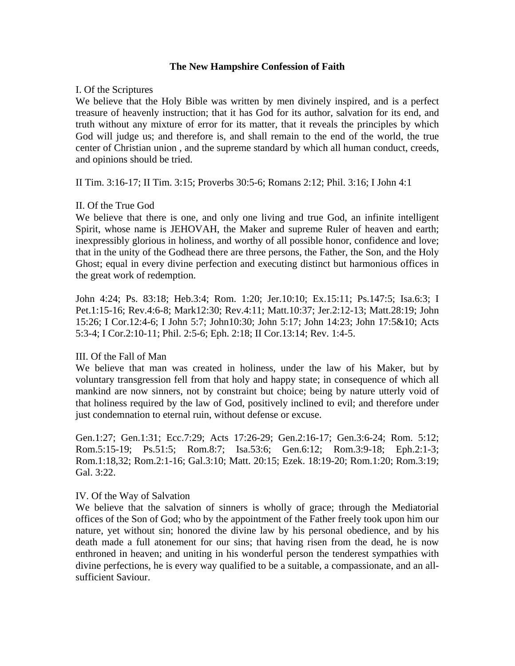#### **The New Hampshire Confession of Faith**

#### I. Of the Scriptures

We believe that the Holy Bible was written by men divinely inspired, and is a perfect treasure of heavenly instruction; that it has God for its author, salvation for its end, and truth without any mixture of error for its matter, that it reveals the principles by which God will judge us; and therefore is, and shall remain to the end of the world, the true center of Christian union , and the supreme standard by which all human conduct, creeds, and opinions should be tried.

II Tim. 3:16-17; II Tim. 3:15; Proverbs 30:5-6; Romans 2:12; Phil. 3:16; I John 4:1

#### II. Of the True God

We believe that there is one, and only one living and true God, an infinite intelligent Spirit, whose name is JEHOVAH, the Maker and supreme Ruler of heaven and earth; inexpressibly glorious in holiness, and worthy of all possible honor, confidence and love; that in the unity of the Godhead there are three persons, the Father, the Son, and the Holy Ghost; equal in every divine perfection and executing distinct but harmonious offices in the great work of redemption.

John 4:24; Ps. 83:18; Heb.3:4; Rom. 1:20; Jer.10:10; Ex.15:11; Ps.147:5; Isa.6:3; I Pet.1:15-16; Rev.4:6-8; Mark12:30; Rev.4:11; Matt.10:37; Jer.2:12-13; Matt.28:19; John 15:26; I Cor.12:4-6; I John 5:7; John10:30; John 5:17; John 14:23; John 17:5&10; Acts 5:3-4; I Cor.2:10-11; Phil. 2:5-6; Eph. 2:18; II Cor.13:14; Rev. 1:4-5.

## III. Of the Fall of Man

We believe that man was created in holiness, under the law of his Maker, but by voluntary transgression fell from that holy and happy state; in consequence of which all mankind are now sinners, not by constraint but choice; being by nature utterly void of that holiness required by the law of God, positively inclined to evil; and therefore under just condemnation to eternal ruin, without defense or excuse.

Gen.1:27; Gen.1:31; Ecc.7:29; Acts 17:26-29; Gen.2:16-17; Gen.3:6-24; Rom. 5:12; Rom.5:15-19; Ps.51:5; Rom.8:7; Isa.53:6; Gen.6:12; Rom.3:9-18; Eph.2:1-3; Rom.1:18,32; Rom.2:1-16; Gal.3:10; Matt. 20:15; Ezek. 18:19-20; Rom.1:20; Rom.3:19; Gal. 3:22.

#### IV. Of the Way of Salvation

We believe that the salvation of sinners is wholly of grace; through the Mediatorial offices of the Son of God; who by the appointment of the Father freely took upon him our nature, yet without sin; honored the divine law by his personal obedience, and by his death made a full atonement for our sins; that having risen from the dead, he is now enthroned in heaven; and uniting in his wonderful person the tenderest sympathies with divine perfections, he is every way qualified to be a suitable, a compassionate, and an allsufficient Saviour.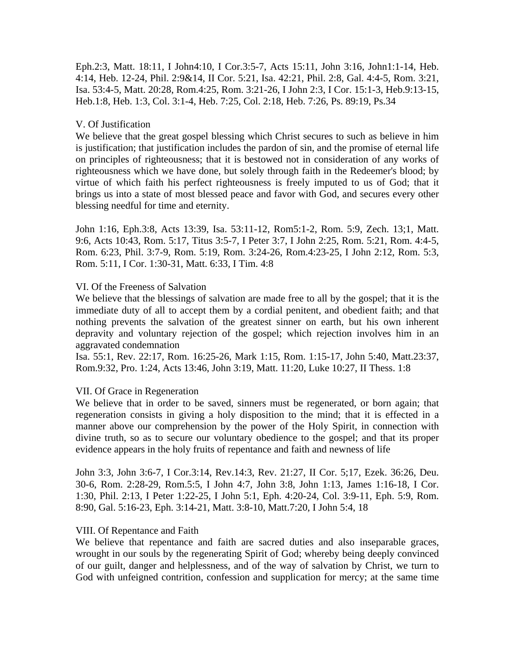Eph.2:3, Matt. 18:11, I John4:10, I Cor.3:5-7, Acts 15:11, John 3:16, John1:1-14, Heb. 4:14, Heb. 12-24, Phil. 2:9&14, II Cor. 5:21, Isa. 42:21, Phil. 2:8, Gal. 4:4-5, Rom. 3:21, Isa. 53:4-5, Matt. 20:28, Rom.4:25, Rom. 3:21-26, I John 2:3, I Cor. 15:1-3, Heb.9:13-15, Heb.1:8, Heb. 1:3, Col. 3:1-4, Heb. 7:25, Col. 2:18, Heb. 7:26, Ps. 89:19, Ps.34

# V. Of Justification

We believe that the great gospel blessing which Christ secures to such as believe in him is justification; that justification includes the pardon of sin, and the promise of eternal life on principles of righteousness; that it is bestowed not in consideration of any works of righteousness which we have done, but solely through faith in the Redeemer's blood; by virtue of which faith his perfect righteousness is freely imputed to us of God; that it brings us into a state of most blessed peace and favor with God, and secures every other blessing needful for time and eternity.

John 1:16, Eph.3:8, Acts 13:39, Isa. 53:11-12, Rom5:1-2, Rom. 5:9, Zech. 13;1, Matt. 9:6, Acts 10:43, Rom. 5:17, Titus 3:5-7, I Peter 3:7, I John 2:25, Rom. 5:21, Rom. 4:4-5, Rom. 6:23, Phil. 3:7-9, Rom. 5:19, Rom. 3:24-26, Rom.4:23-25, I John 2:12, Rom. 5:3, Rom. 5:11, I Cor. 1:30-31, Matt. 6:33, I Tim. 4:8

## VI. Of the Freeness of Salvation

We believe that the blessings of salvation are made free to all by the gospel; that it is the immediate duty of all to accept them by a cordial penitent, and obedient faith; and that nothing prevents the salvation of the greatest sinner on earth, but his own inherent depravity and voluntary rejection of the gospel; which rejection involves him in an aggravated condemnation

Isa. 55:1, Rev. 22:17, Rom. 16:25-26, Mark 1:15, Rom. 1:15-17, John 5:40, Matt.23:37, Rom.9:32, Pro. 1:24, Acts 13:46, John 3:19, Matt. 11:20, Luke 10:27, II Thess. 1:8

## VII. Of Grace in Regeneration

We believe that in order to be saved, sinners must be regenerated, or born again; that regeneration consists in giving a holy disposition to the mind; that it is effected in a manner above our comprehension by the power of the Holy Spirit, in connection with divine truth, so as to secure our voluntary obedience to the gospel; and that its proper evidence appears in the holy fruits of repentance and faith and newness of life

John 3:3, John 3:6-7, I Cor.3:14, Rev.14:3, Rev. 21:27, II Cor. 5;17, Ezek. 36:26, Deu. 30-6, Rom. 2:28-29, Rom.5:5, I John 4:7, John 3:8, John 1:13, James 1:16-18, I Cor. 1:30, Phil. 2:13, I Peter 1:22-25, I John 5:1, Eph. 4:20-24, Col. 3:9-11, Eph. 5:9, Rom. 8:90, Gal. 5:16-23, Eph. 3:14-21, Matt. 3:8-10, Matt.7:20, I John 5:4, 18

## VIII. Of Repentance and Faith

We believe that repentance and faith are sacred duties and also inseparable graces, wrought in our souls by the regenerating Spirit of God; whereby being deeply convinced of our guilt, danger and helplessness, and of the way of salvation by Christ, we turn to God with unfeigned contrition, confession and supplication for mercy; at the same time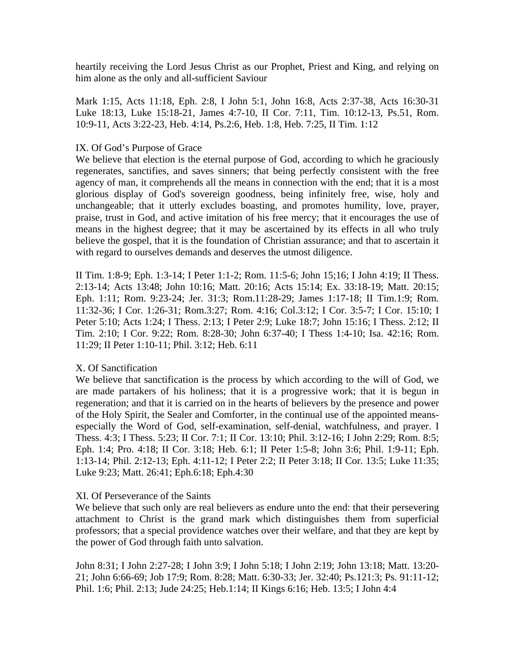heartily receiving the Lord Jesus Christ as our Prophet, Priest and King, and relying on him alone as the only and all-sufficient Saviour

Mark 1:15, Acts 11:18, Eph. 2:8, I John 5:1, John 16:8, Acts 2:37-38, Acts 16:30-31 Luke 18:13, Luke 15:18-21, James 4:7-10, II Cor. 7:11, Tim. 10:12-13, Ps.51, Rom. 10:9-11, Acts 3:22-23, Heb. 4:14, Ps.2:6, Heb. 1:8, Heb. 7:25, II Tim. 1:12

## IX. Of God's Purpose of Grace

We believe that election is the eternal purpose of God, according to which he graciously regenerates, sanctifies, and saves sinners; that being perfectly consistent with the free agency of man, it comprehends all the means in connection with the end; that it is a most glorious display of God's sovereign goodness, being infinitely free, wise, holy and unchangeable; that it utterly excludes boasting, and promotes humility, love, prayer, praise, trust in God, and active imitation of his free mercy; that it encourages the use of means in the highest degree; that it may be ascertained by its effects in all who truly believe the gospel, that it is the foundation of Christian assurance; and that to ascertain it with regard to ourselves demands and deserves the utmost diligence.

II Tim. 1:8-9; Eph. 1:3-14; I Peter 1:1-2; Rom. 11:5-6; John 15;16; I John 4:19; II Thess. 2:13-14; Acts 13:48; John 10:16; Matt. 20:16; Acts 15:14; Ex. 33:18-19; Matt. 20:15; Eph. 1:11; Rom. 9:23-24; Jer. 31:3; Rom.11:28-29; James 1:17-18; II Tim.1:9; Rom. 11:32-36; I Cor. 1:26-31; Rom.3:27; Rom. 4:16; Col.3:12; I Cor. 3:5-7; I Cor. 15:10; I Peter 5:10; Acts 1:24; I Thess. 2:13; I Peter 2:9; Luke 18:7; John 15:16; I Thess. 2:12; II Tim. 2:10; I Cor. 9:22; Rom. 8:28-30; John 6:37-40; I Thess 1:4-10; Isa. 42:16; Rom. 11:29; II Peter 1:10-11; Phil. 3:12; Heb. 6:11

## X. Of Sanctification

We believe that sanctification is the process by which according to the will of God, we are made partakers of his holiness; that it is a progressive work; that it is begun in regeneration; and that it is carried on in the hearts of believers by the presence and power of the Holy Spirit, the Sealer and Comforter, in the continual use of the appointed meansespecially the Word of God, self-examination, self-denial, watchfulness, and prayer. I Thess. 4:3; I Thess. 5:23; II Cor. 7:1; II Cor. 13:10; Phil. 3:12-16; I John 2:29; Rom. 8:5; Eph. 1:4; Pro. 4:18; II Cor. 3:18; Heb. 6:1; II Peter 1:5-8; John 3:6; Phil. 1:9-11; Eph. 1:13-14; Phil. 2:12-13; Eph. 4:11-12; I Peter 2:2; II Peter 3:18; II Cor. 13:5; Luke 11:35; Luke 9:23; Matt. 26:41; Eph.6:18; Eph.4:30

## XI. Of Perseverance of the Saints

We believe that such only are real believers as endure unto the end: that their persevering attachment to Christ is the grand mark which distinguishes them from superficial professors; that a special providence watches over their welfare, and that they are kept by the power of God through faith unto salvation.

John 8:31; I John 2:27-28; I John 3:9; I John 5:18; I John 2:19; John 13:18; Matt. 13:20- 21; John 6:66-69; Job 17:9; Rom. 8:28; Matt. 6:30-33; Jer. 32:40; Ps.121:3; Ps. 91:11-12; Phil. 1:6; Phil. 2:13; Jude 24:25; Heb.1:14; II Kings 6:16; Heb. 13:5; I John 4:4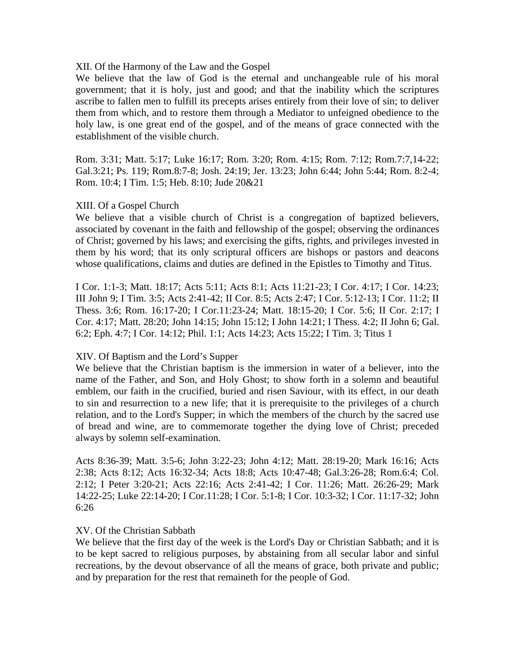#### XII. Of the Harmony of the Law and the Gospel

We believe that the law of God is the eternal and unchangeable rule of his moral government; that it is holy, just and good; and that the inability which the scriptures ascribe to fallen men to fulfill its precepts arises entirely from their love of sin; to deliver them from which, and to restore them through a Mediator to unfeigned obedience to the holy law, is one great end of the gospel, and of the means of grace connected with the establishment of the visible church.

Rom. 3:31; Matt. 5:17; Luke 16:17; Rom. 3:20; Rom. 4:15; Rom. 7:12; Rom.7:7,14-22; Gal.3:21; Ps. 119; Rom.8:7-8; Josh. 24:19; Jer. 13:23; John 6:44; John 5:44; Rom. 8:2-4; Rom. 10:4; I Tim. 1:5; Heb. 8:10; Jude 20&21

#### XIII. Of a Gospel Church

We believe that a visible church of Christ is a congregation of baptized believers, associated by covenant in the faith and fellowship of the gospel; observing the ordinances of Christ; governed by his laws; and exercising the gifts, rights, and privileges invested in them by his word; that its only scriptural officers are bishops or pastors and deacons whose qualifications, claims and duties are defined in the Epistles to Timothy and Titus.

I Cor. 1:1-3; Matt. 18:17; Acts 5:11; Acts 8:1; Acts 11:21-23; I Cor. 4:17; I Cor. 14:23; III John 9; I Tim. 3:5; Acts 2:41-42; II Cor. 8:5; Acts 2:47; I Cor. 5:12-13; I Cor. 11:2; II Thess. 3:6; Rom. 16:17-20; I Cor.11:23-24; Matt. 18:15-20; I Cor. 5:6; II Cor. 2:17; I Cor. 4:17; Matt. 28:20; John 14:15; John 15:12; I John 14:21; I Thess. 4:2; II John 6; Gal. 6:2; Eph. 4:7; I Cor. 14:12; Phil. 1:1; Acts 14:23; Acts 15:22; I Tim. 3; Titus 1

## XIV. Of Baptism and the Lord's Supper

We believe that the Christian baptism is the immersion in water of a believer, into the name of the Father, and Son, and Holy Ghost; to show forth in a solemn and beautiful emblem, our faith in the crucified, buried and risen Saviour, with its effect, in our death to sin and resurrection to a new life; that it is prerequisite to the privileges of a church relation, and to the Lord's Supper; in which the members of the church by the sacred use of bread and wine, are to commemorate together the dying love of Christ; preceded always by solemn self-examination.

Acts 8:36-39; Matt. 3:5-6; John 3:22-23; John 4:12; Matt. 28:19-20; Mark 16:16; Acts 2:38; Acts 8:12; Acts 16:32-34; Acts 18:8; Acts 10:47-48; Gal.3:26-28; Rom.6:4; Col. 2:12; I Peter 3:20-21; Acts 22:16; Acts 2:41-42; I Cor. 11:26; Matt. 26:26-29; Mark 14:22-25; Luke 22:14-20; I Cor.11:28; I Cor. 5:1-8; I Cor. 10:3-32; I Cor. 11:17-32; John 6:26

#### XV. Of the Christian Sabbath

We believe that the first day of the week is the Lord's Day or Christian Sabbath; and it is to be kept sacred to religious purposes, by abstaining from all secular labor and sinful recreations, by the devout observance of all the means of grace, both private and public; and by preparation for the rest that remaineth for the people of God.